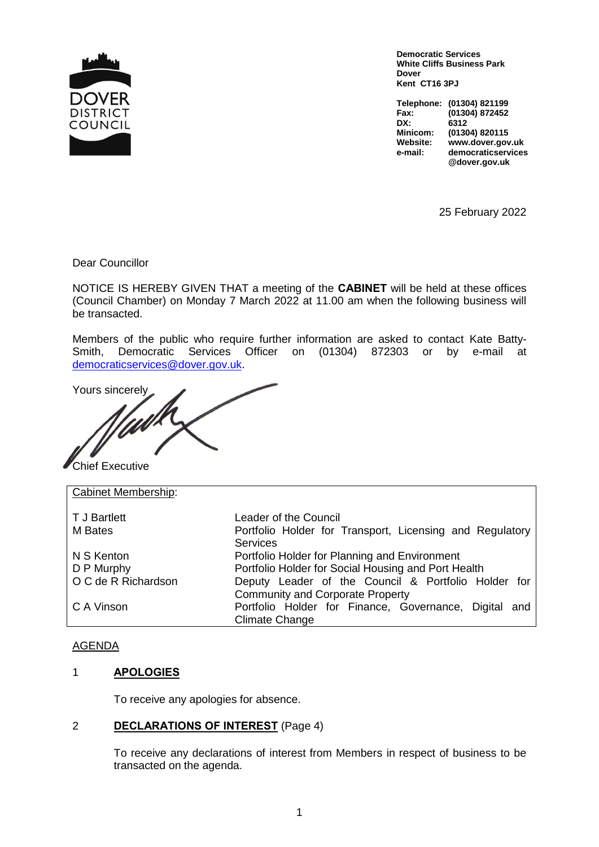

**Democratic Services White Cliffs Business Park Dover Kent CT16 3PJ**

**Telephone: (01304) 821199 Fax: (01304) 872452 DX: 6312 Minicom: (01304) 820115 Website: www.dover.gov.uk e-mail: democraticservices @dover.gov.uk**

25 February 2022

Dear Councillor

NOTICE IS HEREBY GIVEN THAT a meeting of the **CABINET** will be held at these offices (Council Chamber) on Monday 7 March 2022 at 11.00 am when the following business will be transacted.

Members of the public who require further information are asked to contact Kate Batty-Smith, Democratic Services Officer on (01304) 872303 or by e-mail at democraticservices@dover.gov.uk.

Yours sincerely

Chief Executive

Cabinet Membership: T J Bartlett Leader of the Council M Bates **Portfolio Holder for Transport, Licensing and Regulatory Services** N S Kenton Portfolio Holder for Planning and Environment D P Murphy **Portfolio Holder for Social Housing and Port Health** O C de R Richardson Deputy Leader of the Council & Portfolio Holder for Community and Corporate Property C A Vinson **Portfolio Holder for Finance, Governance, Digital and** Climate Change

### AGENDA

### 1 **APOLOGIES**

To receive any apologies for absence.

### 2 **DECLARATIONS OF INTEREST** (Page 4)

To receive any declarations of interest from Members in respect of business to be transacted on the agenda.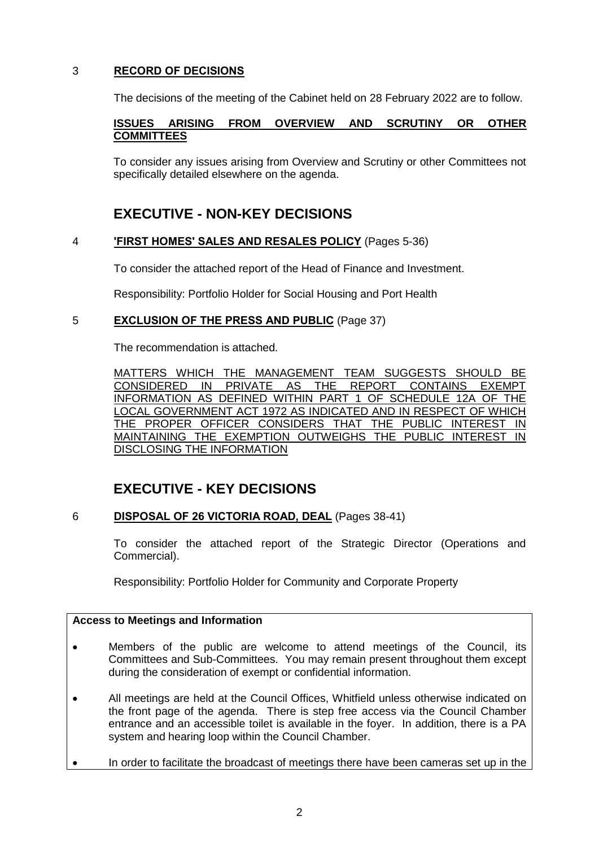# 3 **RECORD OF DECISIONS**

The decisions of the meeting of the Cabinet held on 28 February 2022 are to follow.

### **ISSUES ARISING FROM OVERVIEW AND SCRUTINY OR OTHER COMMITTEES**

To consider any issues arising from Overview and Scrutiny or other Committees not specifically detailed elsewhere on the agenda.

# **EXECUTIVE - NON-KEY DECISIONS**

# 4 **'FIRST HOMES' SALES AND RESALES POLICY** (Pages 5-36)

To consider the attached report of the Head of Finance and Investment.

Responsibility: Portfolio Holder for Social Housing and Port Health

# 5 **EXCLUSION OF THE PRESS AND PUBLIC** (Page 37)

The recommendation is attached.

MATTERS WHICH THE MANAGEMENT TEAM SUGGESTS SHOULD BE CONSIDERED IN PRIVATE AS THE REPORT CONTAINS EXEMPT INFORMATION AS DEFINED WITHIN PART 1 OF SCHEDULE 12A OF THE LOCAL GOVERNMENT ACT 1972 AS INDICATED AND IN RESPECT OF WHICH THE PROPER OFFICER CONSIDERS THAT THE PUBLIC INTEREST IN MAINTAINING THE EXEMPTION OUTWEIGHS THE PUBLIC INTEREST IN DISCLOSING THE INFORMATION

# **EXECUTIVE - KEY DECISIONS**

# 6 **DISPOSAL OF 26 VICTORIA ROAD, DEAL** (Pages 38-41)

To consider the attached report of the Strategic Director (Operations and Commercial).

Responsibility: Portfolio Holder for Community and Corporate Property

### **Access to Meetings and Information**

- Members of the public are welcome to attend meetings of the Council, its Committees and Sub-Committees. You may remain present throughout them except during the consideration of exempt or confidential information.
- All meetings are held at the Council Offices, Whitfield unless otherwise indicated on the front page of the agenda. There is step free access via the Council Chamber entrance and an accessible toilet is available in the foyer. In addition, there is a PA system and hearing loop within the Council Chamber.
- In order to facilitate the broadcast of meetings there have been cameras set up in the